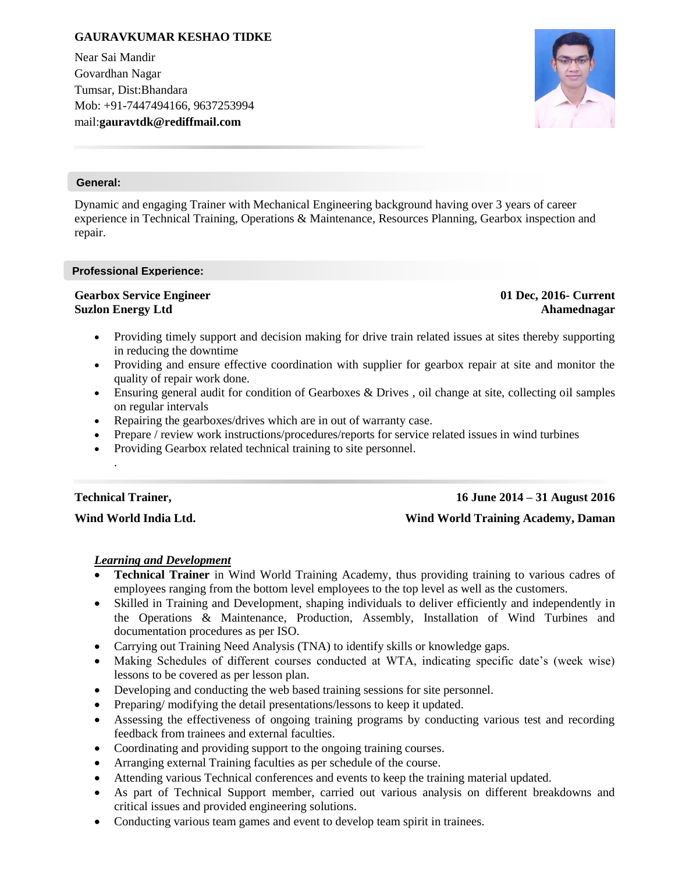# **GAURAVKUMAR KESHAO TIDKE**

Near Sai Mandir Govardhan Nagar Tumsar, Dist:Bhandara Mob: +91-7447494166, 9637253994 mail:**gauravtdk@rediffmail.com**



#### **General:**

Dynamic and engaging Trainer with Mechanical Engineering background having over 3 years of career experience in Technical Training, Operations & Maintenance, Resources Planning, Gearbox inspection and repair.

#### **Professional Experience:**

#### **Gearbox Service Engineer Suzlon Energy Ltd**

**01 Dec, 2016- Current Ahamednagar**

- Providing timely support and decision making for drive train related issues at sites thereby supporting in reducing the downtime
- Providing and ensure effective coordination with supplier for gearbox repair at site and monitor the quality of repair work done.
- Ensuring general audit for condition of Gearboxes & Drives , oil change at site, collecting oil samples on regular intervals
- Repairing the gearboxes/drives which are in out of warranty case.
- Prepare / review work instructions/procedures/reports for service related issues in wind turbines
- Providing Gearbox related technical training to site personnel.

# **Technical Trainer,**

.

**Wind World India Ltd.**

# **16 June 2014 – 31 August 2016**

#### **Wind World Training Academy, Daman**

#### *Learning and Development*

- **Technical Trainer** in Wind World Training Academy, thus providing training to various cadres of employees ranging from the bottom level employees to the top level as well as the customers.
- Skilled in Training and Development, shaping individuals to deliver efficiently and independently in the Operations & Maintenance, Production, Assembly, Installation of Wind Turbines and documentation procedures as per ISO.
- Carrying out Training Need Analysis (TNA) to identify skills or knowledge gaps.
- Making Schedules of different courses conducted at WTA, indicating specific date's (week wise) lessons to be covered as per lesson plan.
- Developing and conducting the web based training sessions for site personnel.
- Preparing/ modifying the detail presentations/lessons to keep it updated.
- Assessing the effectiveness of ongoing training programs by conducting various test and recording feedback from trainees and external faculties.
- Coordinating and providing support to the ongoing training courses.
- Arranging external Training faculties as per schedule of the course.
- Attending various Technical conferences and events to keep the training material updated.
- As part of Technical Support member, carried out various analysis on different breakdowns and critical issues and provided engineering solutions.
- Conducting various team games and event to develop team spirit in trainees.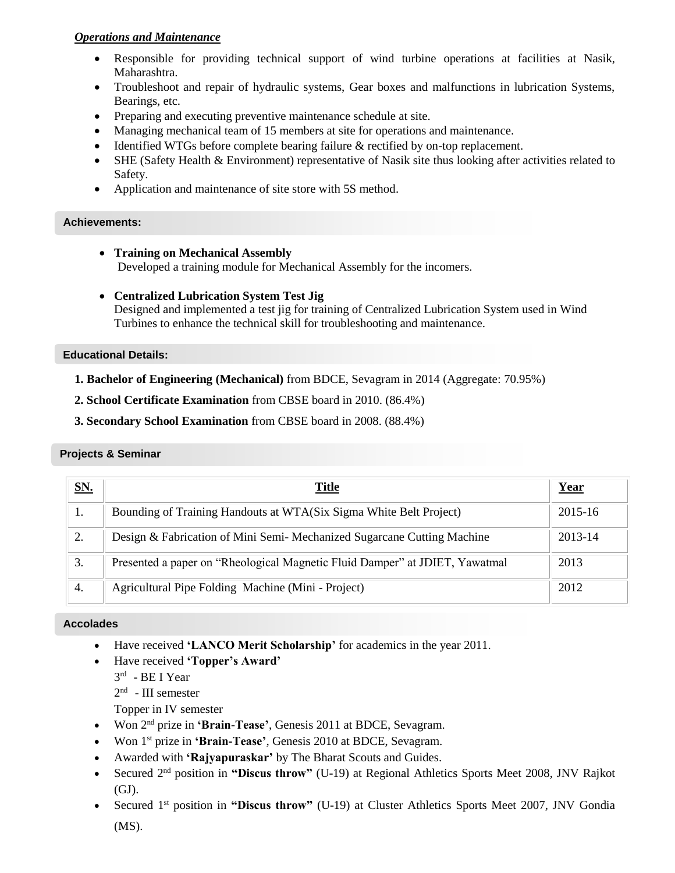# *Operations and Maintenance*

- Responsible for providing technical support of wind turbine operations at facilities at Nasik, Maharashtra.
- Troubleshoot and repair of hydraulic systems, Gear boxes and malfunctions in lubrication Systems, Bearings, etc.
- Preparing and executing preventive maintenance schedule at site.
- Managing mechanical team of 15 members at site for operations and maintenance.
- Identified WTGs before complete bearing failure & rectified by on-top replacement.
- SHE (Safety Health & Environment) representative of Nasik site thus looking after activities related to Safety.
- Application and maintenance of site store with 5S method.

# **Achievements:**

- **Training on Mechanical Assembly** Developed a training module for Mechanical Assembly for the incomers.
- **Centralized Lubrication System Test Jig** Designed and implemented a test jig for training of Centralized Lubrication System used in Wind Turbines to enhance the technical skill for troubleshooting and maintenance.

#### **Educational Details:**

- **1. Bachelor of Engineering (Mechanical)** from BDCE, Sevagram in 2014 (Aggregate: 70.95%)
- **2. School Certificate Examination** from CBSE board in 2010. (86.4%)
- **3. Secondary School Examination** from CBSE board in 2008. (88.4%)

# **Projects & Seminar**

| SN. | Title                                                                       | Year    |
|-----|-----------------------------------------------------------------------------|---------|
| .,  | Bounding of Training Handouts at WTA(Six Sigma White Belt Project)          | 2015-16 |
| 2.  | Design & Fabrication of Mini Semi-Mechanized Sugarcane Cutting Machine      | 2013-14 |
| 3.  | Presented a paper on "Rheological Magnetic Fluid Damper" at JDIET, Yawatmal | 2013    |
| 4.  | Agricultural Pipe Folding Machine (Mini - Project)                          | 2012    |

#### Have received "**Student of the Year-2014"** award at BDCE, Sewagram. **Accolades**

- Have received **'LANCO Merit Scholarship'** for academics in the year 2011.
- Have received **'Topper's Award'**
	- 3<sup>rd</sup> BE I Year
	- $2<sup>nd</sup>$  III semester
	- Topper in IV semester
- Won 2nd prize in **'Brain-Tease'**, Genesis 2011 at BDCE, Sevagram.
- Won 1st prize in **'Brain-Tease'**, Genesis 2010 at BDCE, Sevagram.
- Awarded with **'Rajyapuraskar'** by The Bharat Scouts and Guides.
- Secured 2nd position in **"Discus throw"** (U-19) at Regional Athletics Sports Meet 2008, JNV Rajkot (GJ).
- Secured 1 st position in **"Discus throw"** (U-19) at Cluster Athletics Sports Meet 2007, JNV Gondia (MS).